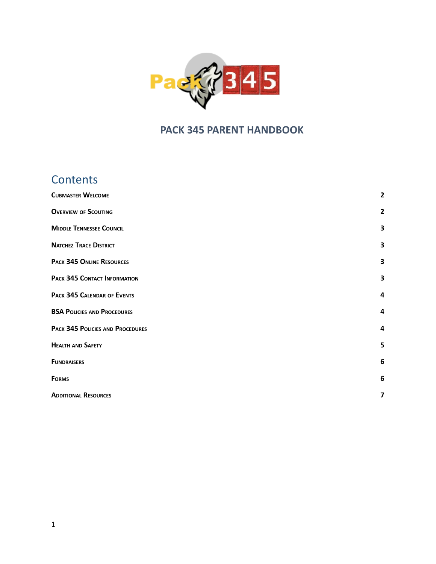

# **PACK 345 PARENT HANDBOOK**

# **Contents**

| <b>CUBMASTER WELCOME</b>           | $\overline{2}$          |
|------------------------------------|-------------------------|
| <b>OVERVIEW OF SCOUTING</b>        | $\overline{2}$          |
| <b>MIDDLE TENNESSEE COUNCIL</b>    | 3                       |
| <b>NATCHEZ TRACE DISTRICT</b>      | 3                       |
| <b>PACK 345 ONLINE RESOURCES</b>   | 3                       |
| PACK 345 CONTACT INFORMATION       | 3                       |
| PACK 345 CALENDAR OF EVENTS        | 4                       |
| <b>BSA POLICIES AND PROCEDURES</b> | 4                       |
| PACK 345 POLICIES AND PROCEDURES   | 4                       |
| <b>HEALTH AND SAFETY</b>           | 5                       |
| <b>FUNDRAISERS</b>                 | 6                       |
| <b>FORMS</b>                       | $\boldsymbol{6}$        |
| <b>ADDITIONAL RESOURCES</b>        | $\overline{\mathbf{z}}$ |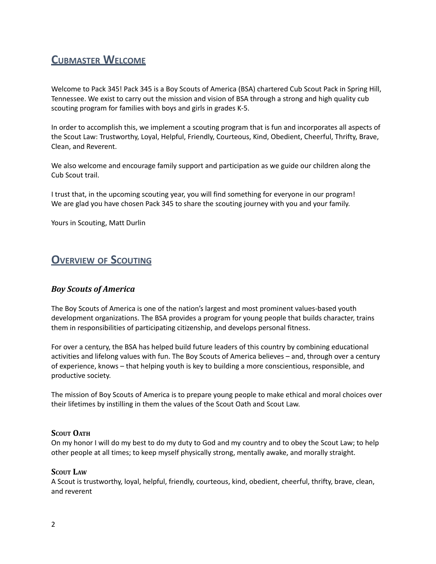# <span id="page-1-0"></span>**CUBMASTER WELCOME**

Welcome to Pack 345! Pack 345 is a Boy Scouts of America (BSA) chartered Cub Scout Pack in Spring Hill, Tennessee. We exist to carry out the mission and vision of BSA through a strong and high quality cub scouting program for families with boys and girls in grades K-5.

In order to accomplish this, we implement a scouting program that is fun and incorporates all aspects of the Scout Law: Trustworthy, Loyal, Helpful, Friendly, Courteous, Kind, Obedient, Cheerful, Thrifty, Brave, Clean, and Reverent.

We also welcome and encourage family support and participation as we guide our children along the Cub Scout trail.

I trust that, in the upcoming scouting year, you will find something for everyone in our program! We are glad you have chosen Pack 345 to share the scouting journey with you and your family.

Yours in Scouting, Matt Durlin

# <span id="page-1-1"></span>**OVERVIEW OF SCOUTING**

### *Boy Scouts of America*

The Boy Scouts of America is one of the nation's largest and most prominent values-based youth development organizations. The BSA provides a program for young people that builds character, trains them in responsibilities of participating citizenship, and develops personal fitness.

For over a century, the BSA has helped build future leaders of this country by combining educational activities and lifelong values with fun. The Boy Scouts of America believes – and, through over a century of experience, knows – that helping youth is key to building a more conscientious, responsible, and productive society.

The mission of Boy Scouts of America is to prepare young people to make ethical and moral choices over their lifetimes by instilling in them the values of the Scout Oath and Scout Law.

#### **SCOUT OATH**

On my honor I will do my best to do my duty to God and my country and to obey the Scout Law; to help other people at all times; to keep myself physically strong, mentally awake, and morally straight.

#### **SCOUT LAW**

A Scout is trustworthy, loyal, helpful, friendly, courteous, kind, obedient, cheerful, thrifty, brave, clean, and reverent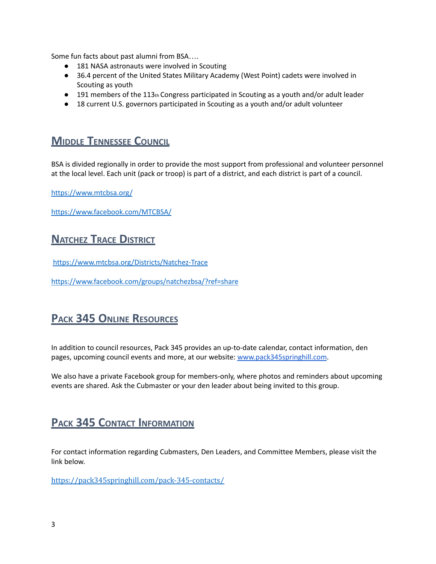Some fun facts about past alumni from BSA….

- 181 NASA astronauts were involved in Scouting
- 36.4 percent of the United States Military Academy (West Point) cadets were involved in Scouting as youth
- $\bullet$  191 members of the 113th Congress participated in Scouting as a youth and/or adult leader
- 18 current U.S. governors participated in Scouting as a youth and/or adult volunteer

# <span id="page-2-0"></span>**MIDDLE TENNESSEE COUNCIL**

BSA is divided regionally in order to provide the most support from professional and volunteer personnel at the local level. Each unit (pack or troop) is part of a district, and each district is part of a council.

<https://www.mtcbsa.org/>

<span id="page-2-1"></span><https://www.facebook.com/MTCBSA/>

# **NATCHEZ TRACE DISTRICT**

<https://www.mtcbsa.org/Districts/Natchez-Trace>

<https://www.facebook.com/groups/natchezbsa/?ref=share>

# <span id="page-2-2"></span>**PACK 345 ONLINE RESOURCES**

In addition to council resources, Pack 345 provides an up-to-date calendar, contact information, den pages, upcoming council events and more, at our website: [www.pack345springhill.com](http://www.pack345springhill.com).

We also have a private Facebook group for members-only, where photos and reminders about upcoming events are shared. Ask the Cubmaster or your den leader about being invited to this group.

# <span id="page-2-3"></span>**PACK 345 CONTACT INFORMATION**

For contact information regarding Cubmasters, Den Leaders, and Committee Members, please visit the link below.

<https://pack345springhill.com/pack-345-contacts/>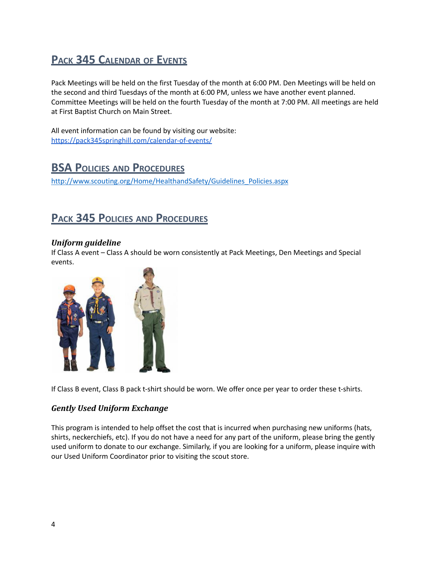# <span id="page-3-0"></span>**PACK 345 CALENDAR OF EVENTS**

Pack Meetings will be held on the first Tuesday of the month at 6:00 PM. Den Meetings will be held on the second and third Tuesdays of the month at 6:00 PM, unless we have another event planned. Committee Meetings will be held on the fourth Tuesday of the month at 7:00 PM. All meetings are held at First Baptist Church on Main Street.

<span id="page-3-1"></span>All event information can be found by visiting our website: <https://pack345springhill.com/calendar-of-events/>

# **BSA POLICIES AND PROCEDURES**

[http://www.scouting.org/Home/HealthandSafety/Guidelines\\_Policies.aspx](http://www.scouting.org/Home/HealthandSafety/Guidelines_Policies.aspx)

# <span id="page-3-2"></span>**PACK 345 POLICIES AND PROCEDURES**

### *Uniform guideline*

If Class A event – Class A should be worn consistently at Pack Meetings, Den Meetings and Special events.



If Class B event, Class B pack t-shirt should be worn. We offer once per year to order these t-shirts.

### *Gently Used Uniform Exchange*

This program is intended to help offset the cost that is incurred when purchasing new uniforms (hats, shirts, neckerchiefs, etc). If you do not have a need for any part of the uniform, please bring the gently used uniform to donate to our exchange. Similarly, if you are looking for a uniform, please inquire with our Used Uniform Coordinator prior to visiting the scout store.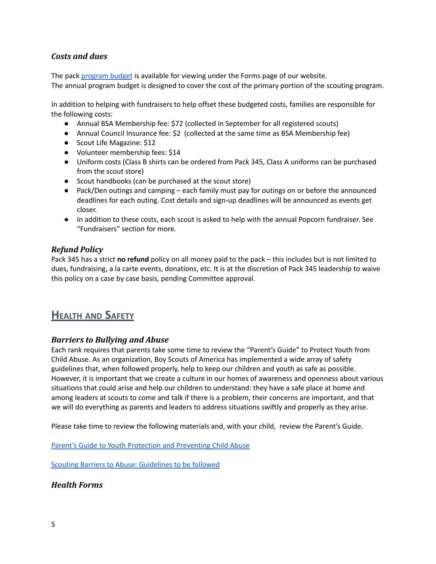### *Costs and dues*

The pack [program](https://pack345springhill.com/forms/) budget is available for viewing under the Forms page of our website. The annual program budget is designed to cover the cost of the primary portion of the scouting program.

In addition to helping with fundraisers to help offset these budgeted costs, families are responsible for the following costs:

- Annual BSA Membership fee: \$72 (collected in September for all registered scouts)
- Annual Council Insurance fee: \$2 (collected at the same time as BSA Membership fee)
- Scout Life Magazine: \$12
- Volunteer membership fees: \$14
- Uniform costs (Class B shirts can be ordered from Pack 345, Class A uniforms can be purchased from the scout store)
- Scout handbooks (can be purchased at the scout store)
- Pack/Den outings and camping each family must pay for outings on or before the announced deadlines for each outing. Cost details and sign-up deadlines will be announced as events get closer.
- In addition to these costs, each scout is asked to help with the annual Popcorn fundraiser. See "Fundraisers" section for more.

### *Refund Policy*

Pack 345 has a strict **no refund** policy on all money paid to the pack – this includes but is not limited to dues, fundraising, a la carte events, donations, etc. It is at the discretion of Pack 345 leadership to waive this policy on a case by case basis, pending Committee approval.

# <span id="page-4-0"></span>**HEALTH AND SAFETY**

### *Barriers to Bullying and Abuse*

Each rank requires that parents take some time to review the "Parent's Guide" to Protect Youth from Child Abuse. As an organization, Boy Scouts of America has implemented a wide array of safety guidelines that, when followed properly, help to keep our children and youth as safe as possible. However, it is important that we create a culture in our homes of awareness and openness about various situations that could arise and help our children to understand: they have a safe place at home and among leaders at scouts to come and talk if there is a problem, their concerns are important, and that we will do everything as parents and leaders to address situations swiftly and properly as they arise.

Please take time to review the following materials and, with your child, review the Parent's Guide.

Parent's Guide to Youth Protection and [Preventing](https://filestore.scouting.org/filestore/pdf/100-014_WEB.pdf?_gl=1*srkrhy*_ga*NTU3MDkyMTk1LjE1OTY1NjU2NzQ.*_ga_20G0JHESG4*MTYyOTczMzY2OS41LjEuMTYyOTczMzc4Ny41NQ..) Child Abuse

Scouting Barriers to Abuse: [Guidelines](https://www.scouting.org/health-and-safety/gss/gss01/) to be followed

### *Health Forms*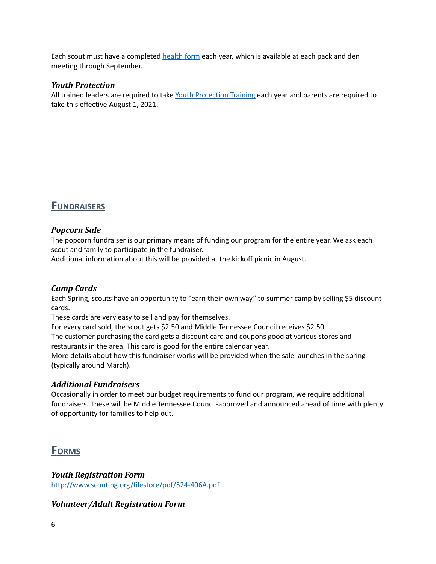Each scout must have a completed [health](http://www.scouting.org/scoutsource/healthandsafety/ahmr.aspx) form each year, which is available at each pack and den meeting through September.

#### *Youth Protection*

All trained leaders are required to take Youth [Protection](https://www.scouting.org/training/youth-protection/) Training each year and parents are required to take this effective August 1, 2021.

# <span id="page-5-0"></span>**FUNDRAISERS**

### *Popcorn Sale*

The popcorn fundraiser is our primary means of funding our program for the entire year. We ask each scout and family to participate in the fundraiser.

Additional information about this will be provided at the kickoff picnic in August.

### *Camp Cards*

Each Spring, scouts have an opportunity to "earn their own way" to summer camp by selling \$5 discount cards.

These cards are very easy to sell and pay for themselves.

For every card sold, the scout gets \$2.50 and Middle Tennessee Council receives \$2.50.

The customer purchasing the card gets a discount card and coupons good at various stores and restaurants in the area. This card is good for the entire calendar year.

More details about how this fundraiser works will be provided when the sale launches in the spring (typically around March).

### *Additional Fundraisers*

Occasionally in order to meet our budget requirements to fund our program, we require additional fundraisers. These will be Middle Tennessee Council-approved and announced ahead of time with plenty of opportunity for families to help out.

## <span id="page-5-1"></span>**FORMS**

*Youth Registration Form* [http://www.scouting.org/filestore/pdf/524-406A.pdf](http://www.scouting.org/filestore/pdf/524-406A.pdf%20)

*Volunteer/Adult Registration Form*